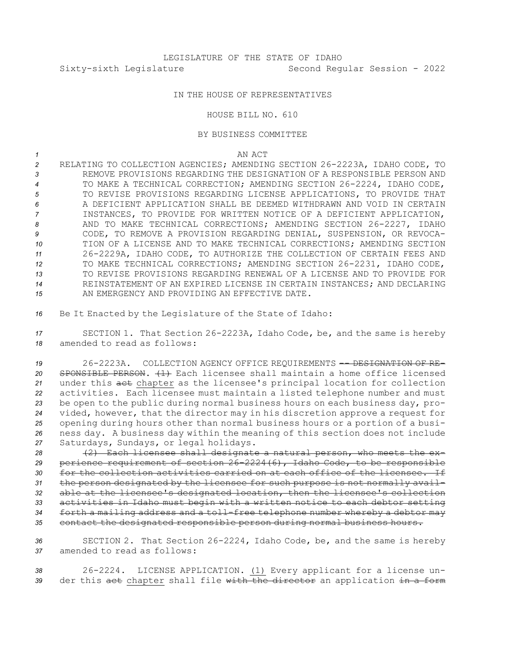## IN THE HOUSE OF REPRESENTATIVES

## HOUSE BILL NO. 610

## BY BUSINESS COMMITTEE

*1* AN ACT

 RELATING TO COLLECTION AGENCIES; AMENDING SECTION 26-2223A, IDAHO CODE, TO REMOVE PROVISIONS REGARDING THE DESIGNATION OF A RESPONSIBLE PERSON AND TO MAKE A TECHNICAL CORRECTION; AMENDING SECTION 26-2224, IDAHO CODE, TO REVISE PROVISIONS REGARDING LICENSE APPLICATIONS, TO PROVIDE THAT A DEFICIENT APPLICATION SHALL BE DEEMED WITHDRAWN AND VOID IN CERTAIN INSTANCES, TO PROVIDE FOR WRITTEN NOTICE OF A DEFICIENT APPLICATION, AND TO MAKE TECHNICAL CORRECTIONS; AMENDING SECTION 26-2227, IDAHO CODE, TO REMOVE A PROVISION REGARDING DENIAL, SUSPENSION, OR REVOCA- TION OF A LICENSE AND TO MAKE TECHNICAL CORRECTIONS; AMENDING SECTION 26-2229A, IDAHO CODE, TO AUTHORIZE THE COLLECTION OF CERTAIN FEES AND TO MAKE TECHNICAL CORRECTIONS; AMENDING SECTION 26-2231, IDAHO CODE, TO REVISE PROVISIONS REGARDING RENEWAL OF A LICENSE AND TO PROVIDE FOR REINSTATEMENT OF AN EXPIRED LICENSE IN CERTAIN INSTANCES; AND DECLARING AN EMERGENCY AND PROVIDING AN EFFECTIVE DATE.

*<sup>16</sup>* Be It Enacted by the Legislature of the State of Idaho:

*<sup>17</sup>* SECTION 1. That Section 26-2223A, Idaho Code, be, and the same is hereby *18* amended to read as follows:

19 26-2223A. COLLECTION AGENCY OFFICE REQUIREMENTS -- DESIGNATION OF RE- SPONSIBLE PERSON. (1) Each licensee shall maintain <sup>a</sup> home office licensed under this act chapter as the licensee's principal location for collection activities. Each licensee must maintain <sup>a</sup> listed telephone number and must be open to the public during normal business hours on each business day, pro- vided, however, that the director may in his discretion approve <sup>a</sup> request for opening during hours other than normal business hours or <sup>a</sup> portion of <sup>a</sup> busi- ness day. <sup>A</sup> business day within the meaning of this section does not include Saturdays, Sundays, or legal holidays.

 (2) Each licensee shall designate <sup>a</sup> natural person, who meets the ex- perience requirement of section 26-2224(6), Idaho Code, to be responsible for the collection activities carried on at each office of the licensee. If the person designated by the licensee for such purpose is not normally avail- able at the licensee's designated location, then the licensee's collection activities in Idaho must begin with <sup>a</sup> written notice to each debtor setting forth <sup>a</sup> mailing address and <sup>a</sup> toll-free telephone number whereby <sup>a</sup> debtor may contact the designated responsible person during normal business hours.

*<sup>36</sup>* SECTION 2. That Section 26-2224, Idaho Code, be, and the same is hereby *37* amended to read as follows:

*<sup>38</sup>* 26-2224. LICENSE APPLICATION. (1) Every applicant for <sup>a</sup> license un-39 der this act chapter shall file with the director an application in a form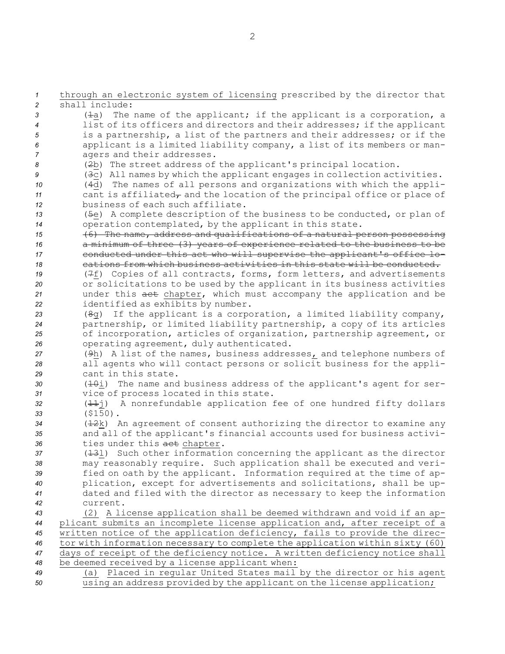through an electronic system of licensing prescribed by the director that shall include: (1a) The name of the applicant; if the applicant is <sup>a</sup> corporation, <sup>a</sup> list of its officers and directors and their addresses; if the applicant is <sup>a</sup> partnership, <sup>a</sup> list of the partners and their addresses; or if the applicant is <sup>a</sup> limited liability company, <sup>a</sup> list of its members or man- agers and their addresses. (2b) The street address of the applicant's principal location. (3c) All names by which the applicant engages in collection activities. (4d) The names of all persons and organizations with which the appli- cant is affiliated $_{\tau}$  and the location of the principal office or place of business of each such affiliate. (5e) <sup>A</sup> complete description of the business to be conducted, or plan of operation contemplated, by the applicant in this state. (6) The name, address and qualifications of <sup>a</sup> natural person possessing <sup>a</sup> minimum of three (3) years of experience related to the business to be 17 conducted under this act who will supervise the applicant's office lo- cations from which business activities in this state will be conducted. (7f) Copies of all contracts, forms, form letters, and advertisements or solicitations to be used by the applicant in its business activities under this act chapter, which must accompany the application and be identified as exhibits by number. (8g) If the applicant is <sup>a</sup> corporation, <sup>a</sup> limited liability company, partnership, or limited liability partnership, <sup>a</sup> copy of its articles of incorporation, articles of organization, partnership agreement, or operating agreement, duly authenticated. 27 (9h) A list of the names, business addresses<sub>*r*</sub> and telephone numbers of all agents who will contact persons or solicit business for the appli- cant in this state. 30 (<del>10</del>i) The name and business address of the applicant's agent for ser- vice of process located in this state. (11j) <sup>A</sup> nonrefundable application fee of one hundred fifty dollars *<sup>33</sup>* (\$150). (12k) An agreement of consent authorizing the director to examine any and all of the applicant's financial accounts used for business activi- ties under this act chapter. (13l) Such other information concerning the applicant as the director may reasonably require. Such application shall be executed and veri- fied on oath by the applicant. Information required at the time of ap- plication, except for advertisements and solicitations, shall be up- dated and filed with the director as necessary to keep the information *42* current. (2) <sup>A</sup> license application shall be deemed withdrawn and void if an ap- plicant submits an incomplete license application and, after receipt of <sup>a</sup> written notice of the application deficiency, fails to provide the direc- tor with information necessary to complete the application within sixty (60) days of receipt of the deficiency notice. <sup>A</sup> written deficiency notice shall be deemed received by <sup>a</sup> license applicant when: (a) Placed in regular United States mail by the director or his agent using an address provided by the applicant on the license application;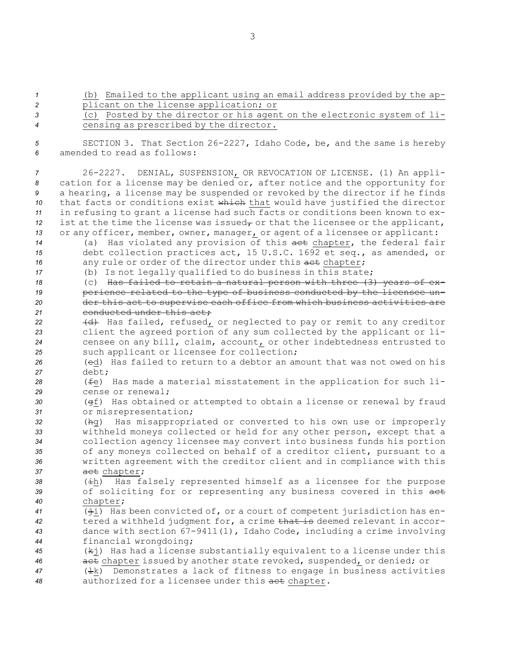3

 (b) Emailed to the applicant using an email address provided by the ap- plicant on the license application; or (c) Posted by the director or his agent on the electronic system of li- censing as prescribed by the director. SECTION 3. That Section 26-2227, Idaho Code, be, and the same is hereby amended to read as follows: 26-2227. DENIAL, SUSPENSION, OR REVOCATION OF LICENSE. (1) An appli- cation for <sup>a</sup> license may be denied or, after notice and the opportunity for <sup>a</sup> hearing, <sup>a</sup> license may be suspended or revoked by the director if he finds that facts or conditions exist which that would have justified the director in refusing to grant <sup>a</sup> license had such facts or conditions been known to ex- ist at the time the license was issued<sub> $\tau$ </sub> or that the licensee or the applicant, or any officer, member, owner, manager, or agent of <sup>a</sup> licensee or applicant: (a) Has violated any provision of this act chapter, the federal fair debt collection practices act, 15 U.S.C. 1692 et seq., as amended, or 16 any rule or order of the director under this act chapter; (b) Is not legally qualified to do business in this state; (c) Has failed to retain <sup>a</sup> natural person with three (3) years of ex- perience related to the type of business conducted by the licensee un- der this act to supervise each office from which business activities are 21 conducted under this act; 22 (d) Has failed, refused, or neglected to pay or remit to any creditor client the agreed portion of any sum collected by the applicant or li- censee on any bill, claim, account, or other indebtedness entrusted to such applicant or licensee for collection; (ed) Has failed to return to <sup>a</sup> debtor an amount that was not owed on his *27* debt; (fe) Has made <sup>a</sup> material misstatement in the application for such li- cense or renewal; (gf) Has obtained or attempted to obtain <sup>a</sup> license or renewal by fraud or misrepresentation; (hg) Has misappropriated or converted to his own use or improperly withheld moneys collected or held for any other person, except that <sup>a</sup> collection agency licensee may convert into business funds his portion of any moneys collected on behalf of <sup>a</sup> creditor client, pursuant to <sup>a</sup> written agreement with the creditor client and in compliance with this 37 act chapter; (ih) Has falsely represented himself as <sup>a</sup> licensee for the purpose of soliciting for or representing any business covered in this act *<sup>40</sup>* chapter; (ji) Has been convicted of, or <sup>a</sup> court of competent jurisdiction has en- tered <sup>a</sup> withheld judgment for, <sup>a</sup> crime that is deemed relevant in accor- dance with section 67-9411(1), Idaho Code, including <sup>a</sup> crime involving financial wrongdoing; (kj) Has had <sup>a</sup> license substantially equivalent to <sup>a</sup> license under this act chapter issued by another state revoked, suspended, or denied; or 47 ( $\pm k$ ) Demonstrates a lack of fitness to engage in business activities authorized for <sup>a</sup> licensee under this act chapter.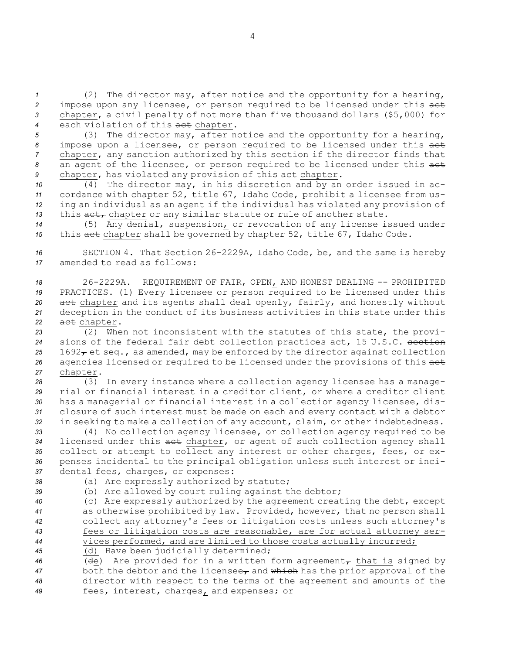(2) The director may, after notice and the opportunity for <sup>a</sup> hearing, impose upon any licensee, or person required to be licensed under this act chapter, <sup>a</sup> civil penalty of not more than five thousand dollars (\$5,000) for each violation of this act chapter.

 (3) The director may, after notice and the opportunity for <sup>a</sup> hearing, impose upon <sup>a</sup> licensee, or person required to be licensed under this act chapter, any sanction authorized by this section if the director finds that an agent of the licensee, or person required to be licensed under this act 9 chapter, has violated any provision of this aet chapter.

 (4) The director may, in his discretion and by an order issued in ac- cordance with chapter 52, title 67, Idaho Code, prohibit <sup>a</sup> licensee from us- ing an individual as an agent if the individual has violated any provision of 13 this act, chapter or any similar statute or rule of another state.

*<sup>14</sup>* (5) Any denial, suspension, or revocation of any license issued under *<sup>15</sup>* this act chapter shall be governed by chapter 52, title 67, Idaho Code.

*<sup>16</sup>* SECTION 4. That Section 26-2229A, Idaho Code, be, and the same is hereby *17* amended to read as follows:

 26-2229A. REQUIREMENT OF FAIR, OPEN, AND HONEST DEALING -- PROHIBITED PRACTICES. (1) Every licensee or person required to be licensed under this act chapter and its agents shall deal openly, fairly, and honestly without deception in the conduct of its business activities in this state under this act chapter.

*<sup>23</sup>* (2) When not inconsistent with the statutes of this state, the provi-*<sup>24</sup>* sions of the federal fair debt collection practices act, 15 U.S.C. section 25 1692 $\tau$  et seq., as amended, may be enforced by the director against collection *<sup>26</sup>* agencies licensed or required to be licensed under the provisions of this act *<sup>27</sup>* chapter.

 (3) In every instance where <sup>a</sup> collection agency licensee has <sup>a</sup> manage- rial or financial interest in <sup>a</sup> creditor client, or where <sup>a</sup> creditor client has <sup>a</sup> managerial or financial interest in <sup>a</sup> collection agency licensee, dis- closure of such interest must be made on each and every contact with <sup>a</sup> debtor in seeking to make <sup>a</sup> collection of any account, claim, or other indebtedness.

 (4) No collection agency licensee, or collection agency required to be licensed under this act chapter, or agent of such collection agency shall collect or attempt to collect any interest or other charges, fees, or ex- penses incidental to the principal obligation unless such interest or inci-dental fees, charges, or expenses:

 (a) Are expressly authorized by statute; (b) Are allowed by court ruling against the debtor; (c) Are expressly authorized by the agreement creating the debt, except as otherwise prohibited by law. Provided, however, that no person shall collect any attorney's fees or litigation costs unless such attorney's fees or litigation costs are reasonable, are for actual attorney ser- vices performed, and are limited to those costs actually incurred; (d) Have been judicially determined; 46 (de) Are provided for in a written form agreement<sub> $\tau$ </sub> that is signed by both the debtor and the licensee<sub> $\tau$ </sub> and which has the prior approval of the director with respect to the terms of the agreement and amounts of the fees, interest, charges, and expenses; or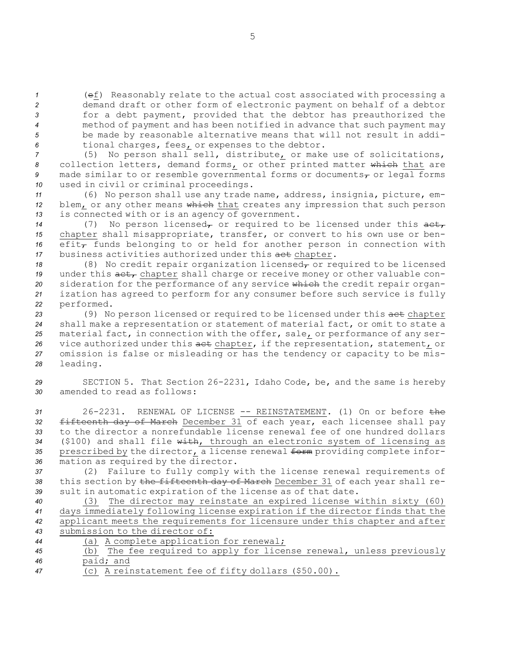(ef) Reasonably relate to the actual cost associated with processing <sup>a</sup> demand draft or other form of electronic payment on behalf of <sup>a</sup> debtor for <sup>a</sup> debt payment, provided that the debtor has preauthorized the method of payment and has been notified in advance that such payment may be made by reasonable alternative means that will not result in addi-tional charges, fees, or expenses to the debtor.

 (5) No person shall sell, distribute, or make use of solicitations, collection letters, demand forms, or other printed matter which that are 9 made similar to or resemble governmental forms or documents<sub>r</sub> or legal forms used in civil or criminal proceedings.

*<sup>11</sup>* (6) No person shall use any trade name, address, insignia, picture, em-12 blem, or any other means which that creates any impression that such person *<sup>13</sup>* is connected with or is an agency of government.

14 (7) No person licensed<sub>7</sub> or required to be licensed under this act<sub>7</sub> *<sup>15</sup>* chapter shall misappropriate, transfer, or convert to his own use or ben-16 efit<sub> $\tau$ </sub> funds belonging to or held for another person in connection with *<sup>17</sup>* business activities authorized under this act chapter.

18 (8) No credit repair organization licensed<sub>r</sub> or required to be licensed 19 under this act, chapter shall charge or receive money or other valuable con-20 sideration for the performance of any service which the credit repair organ-*<sup>21</sup>* ization has agreed to perform for any consumer before such service is fully *<sup>22</sup>* performed.

23 (9) No person licensed or required to be licensed under this act chapter *<sup>24</sup>* shall make <sup>a</sup> representation or statement of material fact, or omit to state <sup>a</sup> *<sup>25</sup>* material fact, in connection with the offer, sale, or performance of any ser-26 vice authorized under this aet chapter, if the representation, statement, or *<sup>27</sup>* omission is false or misleading or has the tendency or capacity to be mis-*<sup>28</sup>* leading.

*<sup>29</sup>* SECTION 5. That Section 26-2231, Idaho Code, be, and the same is hereby *30* amended to read as follows:

 26-2231. RENEWAL OF LICENSE -- REINSTATEMENT. (1) On or before the fifteenth day of March December 31 of each year, each licensee shall pay to the director <sup>a</sup> nonrefundable license renewal fee of one hundred dollars (\$100) and shall file with, through an electronic system of licensing as prescribed by the director, <sup>a</sup> license renewal form providing complete infor-mation as required by the director.

*<sup>37</sup>* (2) Failure to fully comply with the license renewal requirements of *<sup>38</sup>* this section by the fifteenth day of March December 31 of each year shall re-*<sup>39</sup>* sult in automatic expiration of the license as of that date.

 (3) The director may reinstate an expired license within sixty (60) days immediately following license expiration if the director finds that the applicant meets the requirements for licensure under this chapter and after submission to the director of:

| 44 | (a) A complete application for renewal;                |  |  |  |  |  |  |  |  |  |                                                                      |
|----|--------------------------------------------------------|--|--|--|--|--|--|--|--|--|----------------------------------------------------------------------|
| 45 |                                                        |  |  |  |  |  |  |  |  |  | (b) The fee required to apply for license renewal, unless previously |
| 46 | paid; and                                              |  |  |  |  |  |  |  |  |  |                                                                      |
| 47 | $(c)$ A reinstatement fee of fifty dollars $(550, 00)$ |  |  |  |  |  |  |  |  |  |                                                                      |

*461* A reinstatement fee of fifty doligis (\$20.00).